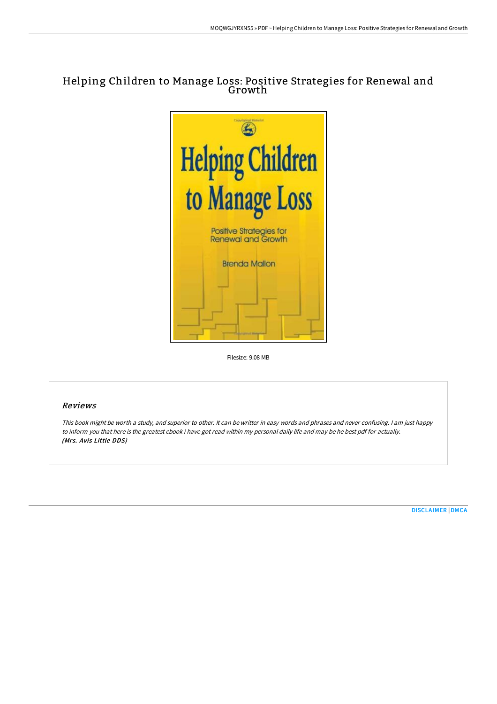# Helping Children to Manage Loss: Positive Strategies for Renewal and Growth



Filesize: 9.08 MB

### Reviews

This book might be worth <sup>a</sup> study, and superior to other. It can be writter in easy words and phrases and never confusing. <sup>I</sup> am just happy to inform you that here is the greatest ebook i have got read within my personal daily life and may be he best pdf for actually. (Mrs. Avis Little DDS)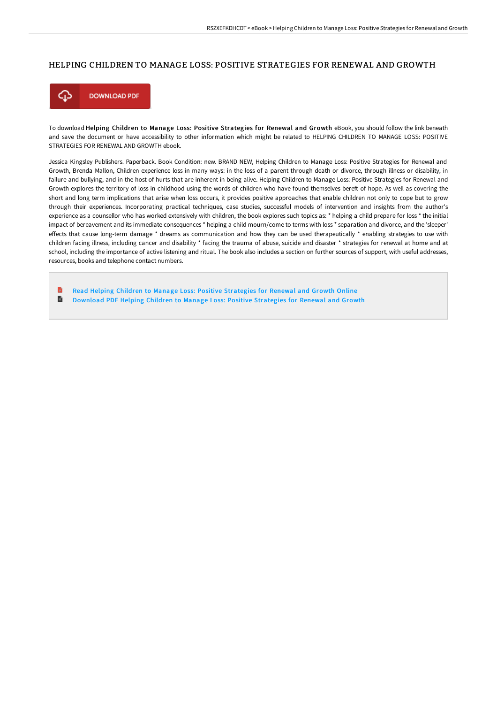#### HELPING CHILDREN TO MANAGE LOSS: POSITIVE STRATEGIES FOR RENEWAL AND GROWTH



To download Helping Children to Manage Loss: Positive Strategies for Renewal and Growth eBook, you should follow the link beneath and save the document or have accessibility to other information which might be related to HELPING CHILDREN TO MANAGE LOSS: POSITIVE STRATEGIES FOR RENEWAL AND GROWTH ebook.

Jessica Kingsley Publishers. Paperback. Book Condition: new. BRAND NEW, Helping Children to Manage Loss: Positive Strategies for Renewal and Growth, Brenda Mallon, Children experience loss in many ways: in the loss of a parent through death or divorce, through illness or disability, in failure and bullying, and in the host of hurts that are inherent in being alive. Helping Children to Manage Loss: Positive Strategies for Renewal and Growth explores the territory of loss in childhood using the words of children who have found themselves bereft of hope. As well as covering the short and long term implications that arise when loss occurs, it provides positive approaches that enable children not only to cope but to grow through their experiences. Incorporating practical techniques, case studies, successful models of intervention and insights from the author's experience as a counsellor who has worked extensively with children, the book explores such topics as: \* helping a child prepare for loss \* the initial impact of bereavement and its immediate consequences \* helping a child mourn/come to terms with loss \* separation and divorce, and the 'sleeper' effects that cause long-term damage \* dreams as communication and how they can be used therapeutically \* enabling strategies to use with children facing illness, including cancer and disability \* facing the trauma of abuse, suicide and disaster \* strategies for renewal at home and at school, including the importance of active listening and ritual. The book also includes a section on further sources of support, with useful addresses, resources, books and telephone contact numbers.

B Read Helping Children to Manage Loss: Positive [Strategies](http://albedo.media/helping-children-to-manage-loss-positive-strateg.html) for Renewal and Growth Online  $\blacksquare$ Download PDF Helping Children to Manage Loss: Positive [Strategies](http://albedo.media/helping-children-to-manage-loss-positive-strateg.html) for Renewal and Growth